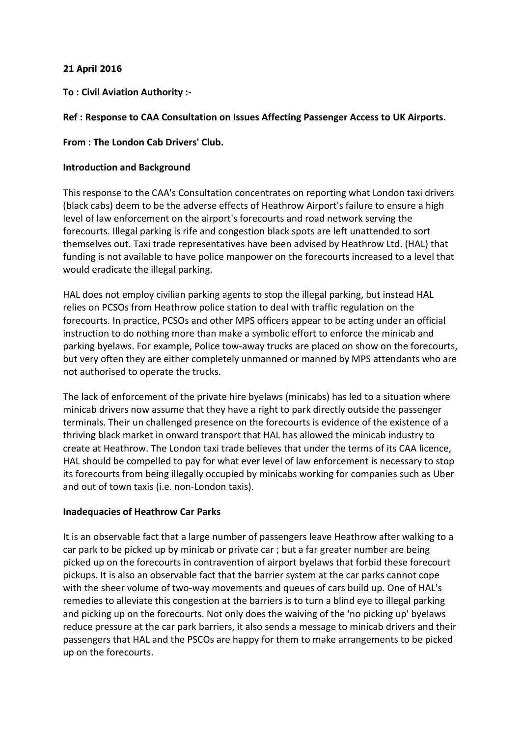## **21 April 2016**

**To : Civil Aviation Authority :-**

## **Ref : Response to CAA Consultation on Issues Affecting Passenger Access to UK Airports.**

**From : The London Cab Drivers' Club.** 

### **Introduction and Background**

This response to the CAA's Consultation concentrates on reporting what London taxi drivers (black cabs) deem to be the adverse effects of Heathrow Airport's failure to ensure a high level of law enforcement on the airport's forecourts and road network serving the forecourts. Illegal parking is rife and congestion black spots are left unattended to sort themselves out. Taxi trade representatives have been advised by Heathrow Ltd. (HAL) that funding is not available to have police manpower on the forecourts increased to a level that would eradicate the illegal parking.

HAL does not employ civilian parking agents to stop the illegal parking, but instead HAL relies on PCSOs from Heathrow police station to deal with traffic regulation on the forecourts. In practice, PCSOs and other MPS officers appear to be acting under an official instruction to do nothing more than make a symbolic effort to enforce the minicab and parking byelaws. For example, Police tow-away trucks are placed on show on the forecourts, but very often they are either completely unmanned or manned by MPS attendants who are not authorised to operate the trucks.

The lack of enforcement of the private hire byelaws (minicabs) has led to a situation where minicab drivers now assume that they have a right to park directly outside the passenger terminals. Their un challenged presence on the forecourts is evidence of the existence of a thriving black market in onward transport that HAL has allowed the minicab industry to create at Heathrow. The London taxi trade believes that under the terms of its CAA licence, HAL should be compelled to pay for what ever level of law enforcement is necessary to stop its forecourts from being illegally occupied by minicabs working for companies such as Uber and out of town taxis (i.e. non-London taxis).

### **Inadequacies of Heathrow Car Parks**

It is an observable fact that a large number of passengers leave Heathrow after walking to a car park to be picked up by minicab or private car ; but a far greater number are being picked up on the forecourts in contravention of airport byelaws that forbid these forecourt pickups. It is also an observable fact that the barrier system at the car parks cannot cope with the sheer volume of two-way movements and queues of cars build up. One of HAL's remedies to alleviate this congestion at the barriers is to turn a blind eye to illegal parking and picking up on the forecourts. Not only does the waiving of the 'no picking up' byelaws reduce pressure at the car park barriers, it also sends a message to minicab drivers and their passengers that HAL and the PSCOs are happy for them to make arrangements to be picked up on the forecourts.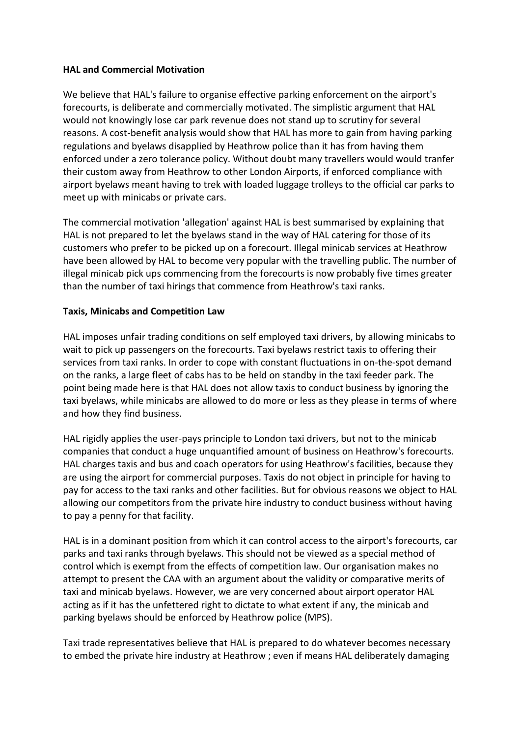## **HAL and Commercial Motivation**

We believe that HAL's failure to organise effective parking enforcement on the airport's forecourts, is deliberate and commercially motivated. The simplistic argument that HAL would not knowingly lose car park revenue does not stand up to scrutiny for several reasons. A cost-benefit analysis would show that HAL has more to gain from having parking regulations and byelaws disapplied by Heathrow police than it has from having them enforced under a zero tolerance policy. Without doubt many travellers would would tranfer their custom away from Heathrow to other London Airports, if enforced compliance with airport byelaws meant having to trek with loaded luggage trolleys to the official car parks to meet up with minicabs or private cars.

The commercial motivation 'allegation' against HAL is best summarised by explaining that HAL is not prepared to let the byelaws stand in the way of HAL catering for those of its customers who prefer to be picked up on a forecourt. Illegal minicab services at Heathrow have been allowed by HAL to become very popular with the travelling public. The number of illegal minicab pick ups commencing from the forecourts is now probably five times greater than the number of taxi hirings that commence from Heathrow's taxi ranks.

# **Taxis, Minicabs and Competition Law**

HAL imposes unfair trading conditions on self employed taxi drivers, by allowing minicabs to wait to pick up passengers on the forecourts. Taxi byelaws restrict taxis to offering their services from taxi ranks. In order to cope with constant fluctuations in on-the-spot demand on the ranks, a large fleet of cabs has to be held on standby in the taxi feeder park. The point being made here is that HAL does not allow taxis to conduct business by ignoring the taxi byelaws, while minicabs are allowed to do more or less as they please in terms of where and how they find business.

HAL rigidly applies the user-pays principle to London taxi drivers, but not to the minicab companies that conduct a huge unquantified amount of business on Heathrow's forecourts. HAL charges taxis and bus and coach operators for using Heathrow's facilities, because they are using the airport for commercial purposes. Taxis do not object in principle for having to pay for access to the taxi ranks and other facilities. But for obvious reasons we object to HAL allowing our competitors from the private hire industry to conduct business without having to pay a penny for that facility.

HAL is in a dominant position from which it can control access to the airport's forecourts, car parks and taxi ranks through byelaws. This should not be viewed as a special method of control which is exempt from the effects of competition law. Our organisation makes no attempt to present the CAA with an argument about the validity or comparative merits of taxi and minicab byelaws. However, we are very concerned about airport operator HAL acting as if it has the unfettered right to dictate to what extent if any, the minicab and parking byelaws should be enforced by Heathrow police (MPS).

Taxi trade representatives believe that HAL is prepared to do whatever becomes necessary to embed the private hire industry at Heathrow ; even if means HAL deliberately damaging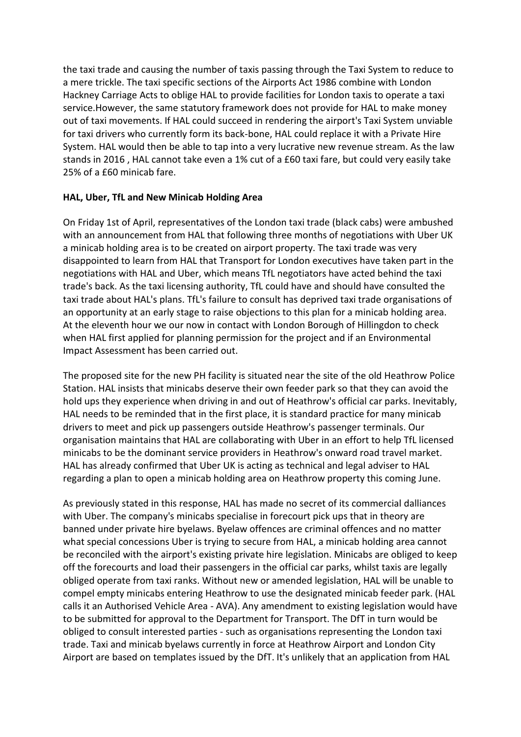the taxi trade and causing the number of taxis passing through the Taxi System to reduce to a mere trickle. The taxi specific sections of the Airports Act 1986 combine with London Hackney Carriage Acts to oblige HAL to provide facilities for London taxis to operate a taxi service.However, the same statutory framework does not provide for HAL to make money out of taxi movements. If HAL could succeed in rendering the airport's Taxi System unviable for taxi drivers who currently form its back-bone, HAL could replace it with a Private Hire System. HAL would then be able to tap into a very lucrative new revenue stream. As the law stands in 2016 , HAL cannot take even a 1% cut of a £60 taxi fare, but could very easily take 25% of a £60 minicab fare.

## **HAL, Uber, TfL and New Minicab Holding Area**

On Friday 1st of April, representatives of the London taxi trade (black cabs) were ambushed with an announcement from HAL that following three months of negotiations with Uber UK a minicab holding area is to be created on airport property. The taxi trade was very disappointed to learn from HAL that Transport for London executives have taken part in the negotiations with HAL and Uber, which means TfL negotiators have acted behind the taxi trade's back. As the taxi licensing authority, TfL could have and should have consulted the taxi trade about HAL's plans. TfL's failure to consult has deprived taxi trade organisations of an opportunity at an early stage to raise objections to this plan for a minicab holding area. At the eleventh hour we our now in contact with London Borough of Hillingdon to check when HAL first applied for planning permission for the project and if an Environmental Impact Assessment has been carried out.

The proposed site for the new PH facility is situated near the site of the old Heathrow Police Station. HAL insists that minicabs deserve their own feeder park so that they can avoid the hold ups they experience when driving in and out of Heathrow's official car parks. Inevitably, HAL needs to be reminded that in the first place, it is standard practice for many minicab drivers to meet and pick up passengers outside Heathrow's passenger terminals. Our organisation maintains that HAL are collaborating with Uber in an effort to help TfL licensed minicabs to be the dominant service providers in Heathrow's onward road travel market. HAL has already confirmed that Uber UK is acting as technical and legal adviser to HAL regarding a plan to open a minicab holding area on Heathrow property this coming June.

As previously stated in this response, HAL has made no secret of its commercial dalliances with Uber. The company's minicabs specialise in forecourt pick ups that in theory are banned under private hire byelaws. Byelaw offences are criminal offences and no matter what special concessions Uber is trying to secure from HAL, a minicab holding area cannot be reconciled with the airport's existing private hire legislation. Minicabs are obliged to keep off the forecourts and load their passengers in the official car parks, whilst taxis are legally obliged operate from taxi ranks. Without new or amended legislation, HAL will be unable to compel empty minicabs entering Heathrow to use the designated minicab feeder park. (HAL calls it an Authorised Vehicle Area - AVA). Any amendment to existing legislation would have to be submitted for approval to the Department for Transport. The DfT in turn would be obliged to consult interested parties - such as organisations representing the London taxi trade. Taxi and minicab byelaws currently in force at Heathrow Airport and London City Airport are based on templates issued by the DfT. It's unlikely that an application from HAL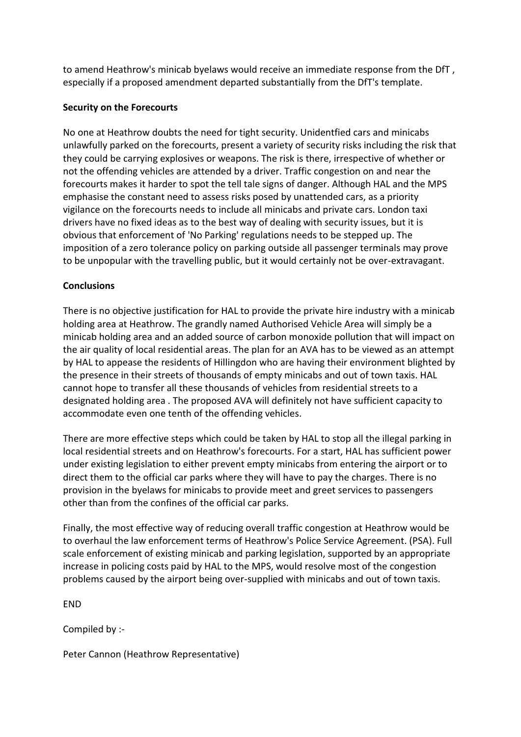to amend Heathrow's minicab byelaws would receive an immediate response from the DfT , especially if a proposed amendment departed substantially from the DfT's template.

# **Security on the Forecourts**

No one at Heathrow doubts the need for tight security. Unidentfied cars and minicabs unlawfully parked on the forecourts, present a variety of security risks including the risk that they could be carrying explosives or weapons. The risk is there, irrespective of whether or not the offending vehicles are attended by a driver. Traffic congestion on and near the forecourts makes it harder to spot the tell tale signs of danger. Although HAL and the MPS emphasise the constant need to assess risks posed by unattended cars, as a priority vigilance on the forecourts needs to include all minicabs and private cars. London taxi drivers have no fixed ideas as to the best way of dealing with security issues, but it is obvious that enforcement of 'No Parking' regulations needs to be stepped up. The imposition of a zero tolerance policy on parking outside all passenger terminals may prove to be unpopular with the travelling public, but it would certainly not be over-extravagant.

## **Conclusions**

There is no objective justification for HAL to provide the private hire industry with a minicab holding area at Heathrow. The grandly named Authorised Vehicle Area will simply be a minicab holding area and an added source of carbon monoxide pollution that will impact on the air quality of local residential areas. The plan for an AVA has to be viewed as an attempt by HAL to appease the residents of Hillingdon who are having their environment blighted by the presence in their streets of thousands of empty minicabs and out of town taxis. HAL cannot hope to transfer all these thousands of vehicles from residential streets to a designated holding area . The proposed AVA will definitely not have sufficient capacity to accommodate even one tenth of the offending vehicles.

There are more effective steps which could be taken by HAL to stop all the illegal parking in local residential streets and on Heathrow's forecourts. For a start, HAL has sufficient power under existing legislation to either prevent empty minicabs from entering the airport or to direct them to the official car parks where they will have to pay the charges. There is no provision in the byelaws for minicabs to provide meet and greet services to passengers other than from the confines of the official car parks.

Finally, the most effective way of reducing overall traffic congestion at Heathrow would be to overhaul the law enforcement terms of Heathrow's Police Service Agreement. (PSA). Full scale enforcement of existing minicab and parking legislation, supported by an appropriate increase in policing costs paid by HAL to the MPS, would resolve most of the congestion problems caused by the airport being over-supplied with minicabs and out of town taxis.

END

Compiled by :-

### Peter Cannon (Heathrow Representative)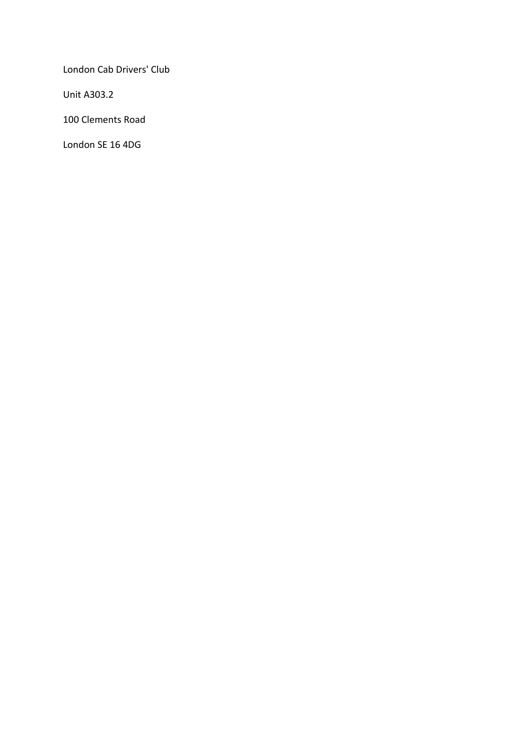London Cab Drivers' Club

Unit A303.2

100 Clements Road

London SE 16 4DG